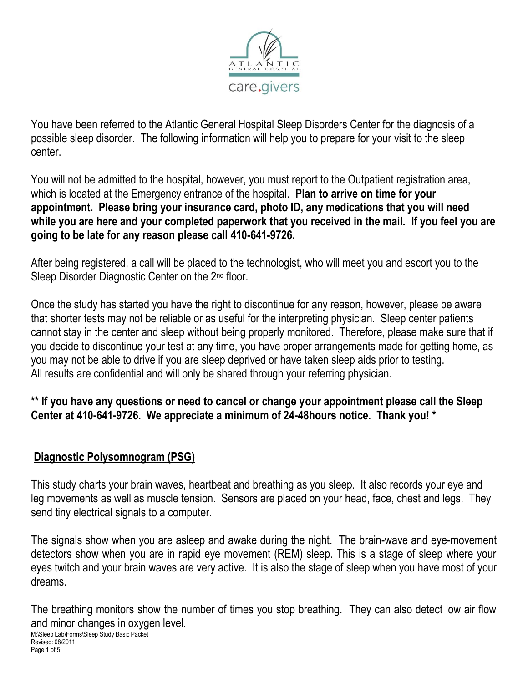

You have been referred to the Atlantic General Hospital Sleep Disorders Center for the diagnosis of a possible sleep disorder. The following information will help you to prepare for your visit to the sleep center.

You will not be admitted to the hospital, however, you must report to the Outpatient registration area, which is located at the Emergency entrance of the hospital. **Plan to arrive on time for your appointment. Please bring your insurance card, photo ID, any medications that you will need while you are here and your completed paperwork that you received in the mail. If you feel you are going to be late for any reason please call 410-641-9726.**

After being registered, a call will be placed to the technologist, who will meet you and escort you to the Sleep Disorder Diagnostic Center on the 2<sup>nd</sup> floor.

Once the study has started you have the right to discontinue for any reason, however, please be aware that shorter tests may not be reliable or as useful for the interpreting physician. Sleep center patients cannot stay in the center and sleep without being properly monitored. Therefore, please make sure that if you decide to discontinue your test at any time, you have proper arrangements made for getting home, as you may not be able to drive if you are sleep deprived or have taken sleep aids prior to testing. All results are confidential and will only be shared through your referring physician.

**\*\* If you have any questions or need to cancel or change your appointment please call the Sleep Center at 410-641-9726. We appreciate a minimum of 24-48hours notice. Thank you! \***

#### **Diagnostic Polysomnogram (PSG)**

This study charts your brain waves, heartbeat and breathing as you sleep. It also records your eye and leg movements as well as muscle tension. Sensors are placed on your head, face, chest and legs. They send tiny electrical signals to a computer.

The signals show when you are asleep and awake during the night. The brain-wave and eye-movement detectors show when you are in rapid eye movement (REM) sleep. This is a stage of sleep where your eyes twitch and your brain waves are very active. It is also the stage of sleep when you have most of your dreams.

M:\Sleep Lab\Forms\Sleep Study Basic Packet The breathing monitors show the number of times you stop breathing. They can also detect low air flow and minor changes in oxygen level.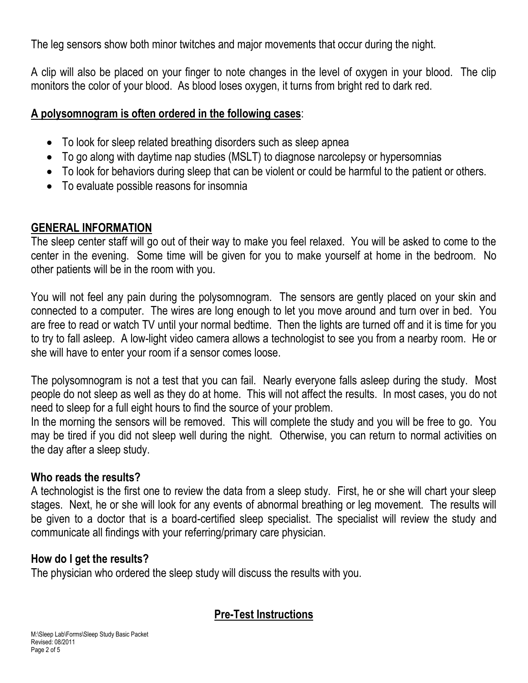The leg sensors show both minor twitches and major movements that occur during the night.

A clip will also be placed on your finger to note changes in the level of oxygen in your blood. The clip monitors the color of your blood. As blood loses oxygen, it turns from bright red to dark red.

#### **A polysomnogram is often ordered in the following cases**:

- To look for sleep related breathing disorders such as sleep apnea
- To go along with daytime nap studies (MSLT) to diagnose narcolepsy or hypersomnias
- To look for behaviors during sleep that can be violent or could be harmful to the patient or others.
- To evaluate possible reasons for insomnia

#### **GENERAL INFORMATION**

The sleep center staff will go out of their way to make you feel relaxed. You will be asked to come to the center in the evening. Some time will be given for you to make yourself at home in the bedroom. No other patients will be in the room with you.

You will not feel any pain during the polysomnogram. The sensors are gently placed on your skin and connected to a computer. The wires are long enough to let you move around and turn over in bed. You are free to read or watch TV until your normal bedtime. Then the lights are turned off and it is time for you to try to fall asleep. A low-light video camera allows a technologist to see you from a nearby room. He or she will have to enter your room if a sensor comes loose.

The polysomnogram is not a test that you can fail. Nearly everyone falls asleep during the study. Most people do not sleep as well as they do at home. This will not affect the results. In most cases, you do not need to sleep for a full eight hours to find the source of your problem.

In the morning the sensors will be removed. This will complete the study and you will be free to go. You may be tired if you did not sleep well during the night. Otherwise, you can return to normal activities on the day after a sleep study.

#### **Who reads the results?**

A technologist is the first one to review the data from a sleep study. First, he or she will chart your sleep stages. Next, he or she will look for any events of abnormal breathing or leg movement. The results will be given to a doctor that is a board-certified sleep specialist. The specialist will review the study and communicate all findings with your referring/primary care physician.

## **How do I get the results?**

The physician who ordered the sleep study will discuss the results with you.

## **Pre-Test Instructions**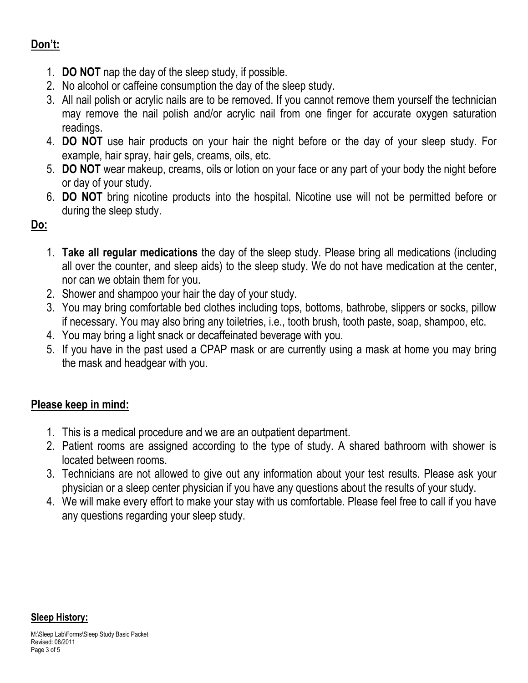## **Don't:**

- 1. **DO NOT** nap the day of the sleep study, if possible.
- 2. No alcohol or caffeine consumption the day of the sleep study.
- 3. All nail polish or acrylic nails are to be removed. If you cannot remove them yourself the technician may remove the nail polish and/or acrylic nail from one finger for accurate oxygen saturation readings.
- 4. **DO NOT** use hair products on your hair the night before or the day of your sleep study. For example, hair spray, hair gels, creams, oils, etc.
- 5. **DO NOT** wear makeup, creams, oils or lotion on your face or any part of your body the night before or day of your study.
- 6. **DO NOT** bring nicotine products into the hospital. Nicotine use will not be permitted before or during the sleep study.

## **Do:**

- 1. **Take all regular medications** the day of the sleep study. Please bring all medications (including all over the counter, and sleep aids) to the sleep study. We do not have medication at the center, nor can we obtain them for you.
- 2. Shower and shampoo your hair the day of your study.
- 3. You may bring comfortable bed clothes including tops, bottoms, bathrobe, slippers or socks, pillow if necessary. You may also bring any toiletries, i.e., tooth brush, tooth paste, soap, shampoo, etc.
- 4. You may bring a light snack or decaffeinated beverage with you.
- 5. If you have in the past used a CPAP mask or are currently using a mask at home you may bring the mask and headgear with you.

## **Please keep in mind:**

- 1. This is a medical procedure and we are an outpatient department.
- 2. Patient rooms are assigned according to the type of study. A shared bathroom with shower is located between rooms.
- 3. Technicians are not allowed to give out any information about your test results. Please ask your physician or a sleep center physician if you have any questions about the results of your study.
- 4. We will make every effort to make your stay with us comfortable. Please feel free to call if you have any questions regarding your sleep study.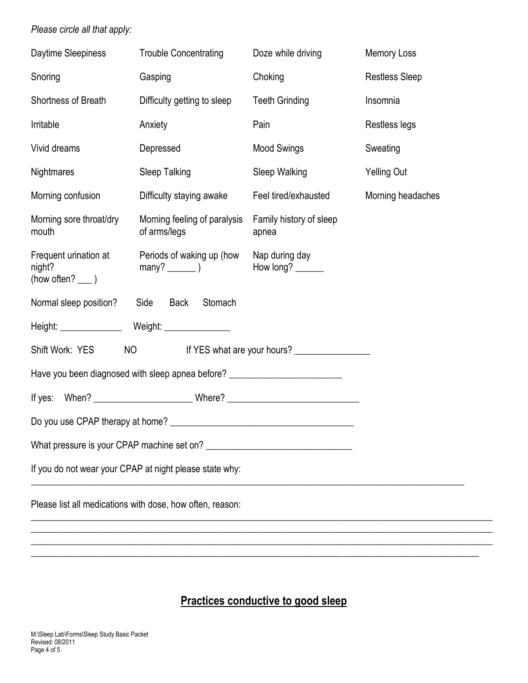#### *Please circle all that apply:*

| <b>Trouble Concentrating</b>                                                            | Doze while driving               | <b>Memory Loss</b>    |
|-----------------------------------------------------------------------------------------|----------------------------------|-----------------------|
| Gasping                                                                                 | Choking                          | <b>Restless Sleep</b> |
| Difficulty getting to sleep                                                             | <b>Teeth Grinding</b>            | Insomnia              |
| Anxiety                                                                                 | Pain                             | Restless legs         |
| Depressed                                                                               | <b>Mood Swings</b>               | Sweating              |
| Sleep Talking                                                                           | Sleep Walking                    | <b>Yelling Out</b>    |
| Difficulty staying awake                                                                | Feel tired/exhausted             | Morning headaches     |
| Morning feeling of paralysis<br>of arms/legs                                            | Family history of sleep<br>apnea |                       |
| Periods of waking up (how                                                               | Nap during day<br>How long?      |                       |
| Stomach<br>Side<br>Back                                                                 |                                  |                       |
| Height: Weight: Weight:                                                                 |                                  |                       |
| Shift Work: YES<br>NO <sub>cco</sub><br>If YES what are your hours? ___________________ |                                  |                       |
| Have you been diagnosed with sleep apnea before? _______________________________        |                                  |                       |
|                                                                                         |                                  |                       |
|                                                                                         |                                  |                       |
| What pressure is your CPAP machine set on?                                              |                                  |                       |
| If you do not wear your CPAP at night please state why:                                 |                                  |                       |
| Please list all medications with dose, how often, reason:                               |                                  |                       |
|                                                                                         |                                  |                       |
|                                                                                         |                                  |                       |

# **Practices conductive to good sleep**

\_\_\_\_\_\_\_\_\_\_\_\_\_\_\_\_\_\_\_\_\_\_\_\_\_\_\_\_\_\_\_\_\_\_\_\_\_\_\_\_\_\_\_\_\_\_\_\_\_\_\_\_\_\_\_\_\_\_\_\_\_\_\_\_\_\_\_\_\_\_\_\_\_\_\_\_\_\_\_\_\_\_\_\_\_\_\_\_\_\_\_\_\_\_\_